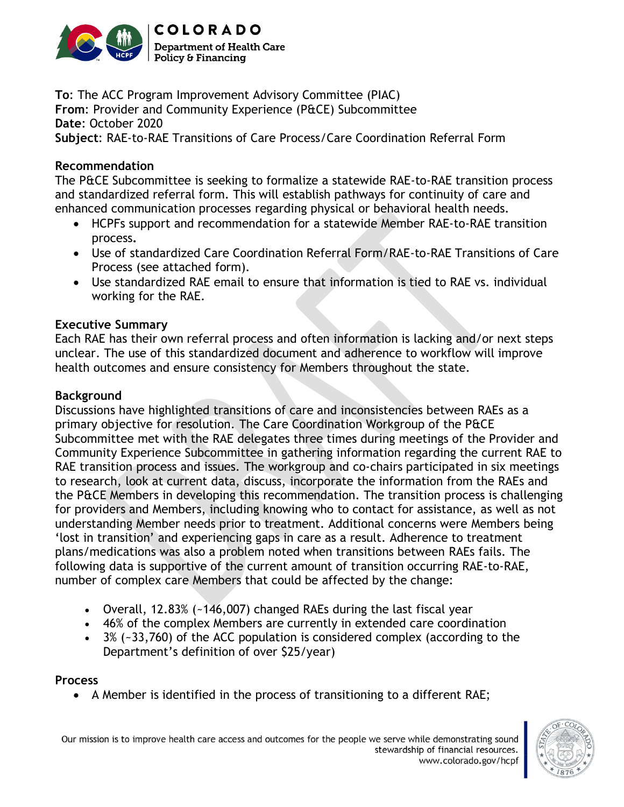

**To**: The ACC Program Improvement Advisory Committee (PIAC) **From**: Provider and Community Experience (P&CE) Subcommittee **Date**: October 2020 **Subject**: RAE-to-RAE Transitions of Care Process/Care Coordination Referral Form

#### **Recommendation**

The P&CE Subcommittee is seeking to formalize a statewide RAE-to-RAE transition process and standardized referral form. This will establish pathways for continuity of care and enhanced communication processes regarding physical or behavioral health needs.

- HCPFs support and recommendation for a statewide Member RAE-to-RAE transition process**.**
- Use of standardized Care Coordination Referral Form/RAE-to-RAE Transitions of Care Process (see attached form).
- Use standardized RAE email to ensure that information is tied to RAE vs. individual working for the RAE.

#### **Executive Summary**

Each RAE has their own referral process and often information is lacking and/or next steps unclear. The use of this standardized document and adherence to workflow will improve health outcomes and ensure consistency for Members throughout the state.

#### **Background**

Discussions have highlighted transitions of care and inconsistencies between RAEs as a primary objective for resolution. The Care Coordination Workgroup of the P&CE Subcommittee met with the RAE delegates three times during meetings of the Provider and Community Experience Subcommittee in gathering information regarding the current RAE to RAE transition process and issues. The workgroup and co-chairs participated in six meetings to research, look at current data, discuss, incorporate the information from the RAEs and the P&CE Members in developing this recommendation. The transition process is challenging for providers and Members, including knowing who to contact for assistance, as well as not understanding Member needs prior to treatment. Additional concerns were Members being 'lost in transition' and experiencing gaps in care as a result. Adherence to treatment plans/medications was also a problem noted when transitions between RAEs fails. The following data is supportive of the current amount of transition occurring RAE-to-RAE, number of complex care Members that could be affected by the change:

- Overall, 12.83% (~146,007) changed RAEs during the last fiscal year
- 46% of the complex Members are currently in extended care coordination
- 3% (~33,760) of the ACC population is considered complex (according to the Department's definition of over \$25/year)

#### **Process**

• A Member is identified in the process of transitioning to a different RAE;

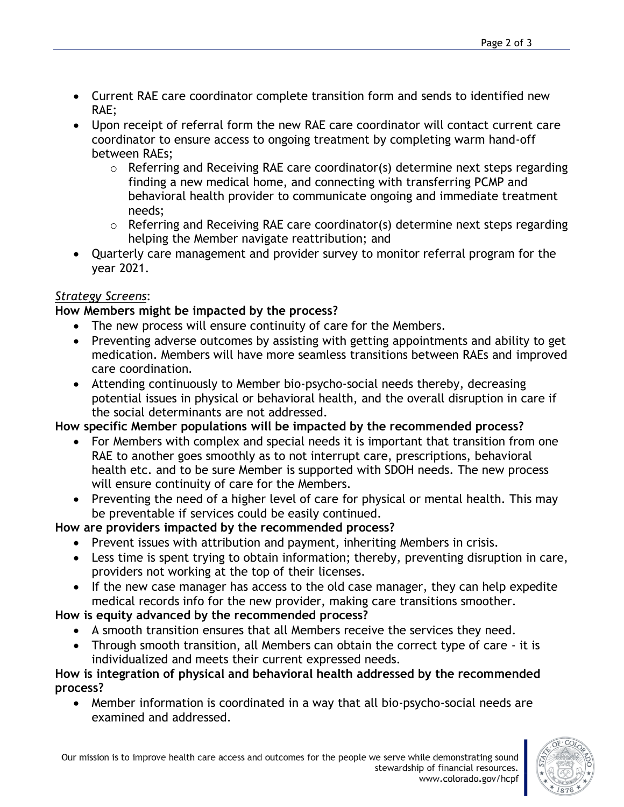- Current RAE care coordinator complete transition form and sends to identified new RAE;
- Upon receipt of referral form the new RAE care coordinator will contact current care coordinator to ensure access to ongoing treatment by completing warm hand-off between RAEs;
	- o Referring and Receiving RAE care coordinator(s) determine next steps regarding finding a new medical home, and connecting with transferring PCMP and behavioral health provider to communicate ongoing and immediate treatment needs;
	- o Referring and Receiving RAE care coordinator(s) determine next steps regarding helping the Member navigate reattribution; and
- Quarterly care management and provider survey to monitor referral program for the year 2021.

# *Strategy Screens*:

# **How Members might be impacted by the process?**

- The new process will ensure continuity of care for the Members.
- Preventing adverse outcomes by assisting with getting appointments and ability to get medication. Members will have more seamless transitions between RAEs and improved care coordination.
- Attending continuously to Member bio-psycho-social needs thereby, decreasing potential issues in physical or behavioral health, and the overall disruption in care if the social determinants are not addressed.

# **How specific Member populations will be impacted by the recommended process?**

- For Members with complex and special needs it is important that transition from one RAE to another goes smoothly as to not interrupt care, prescriptions, behavioral health etc. and to be sure Member is supported with SDOH needs. The new process will ensure continuity of care for the Members.
- Preventing the need of a higher level of care for physical or mental health. This may be preventable if services could be easily continued.

# **How are providers impacted by the recommended process?**

- Prevent issues with attribution and payment, inheriting Members in crisis.
- Less time is spent trying to obtain information; thereby, preventing disruption in care, providers not working at the top of their licenses.
- If the new case manager has access to the old case manager, they can help expedite medical records info for the new provider, making care transitions smoother.

# **How is equity advanced by the recommended process?**

- A smooth transition ensures that all Members receive the services they need.
- Through smooth transition, all Members can obtain the correct type of care it is individualized and meets their current expressed needs.

#### **How is integration of physical and behavioral health addressed by the recommended process?**

• Member information is coordinated in a way that all bio-psycho-social needs are examined and addressed.